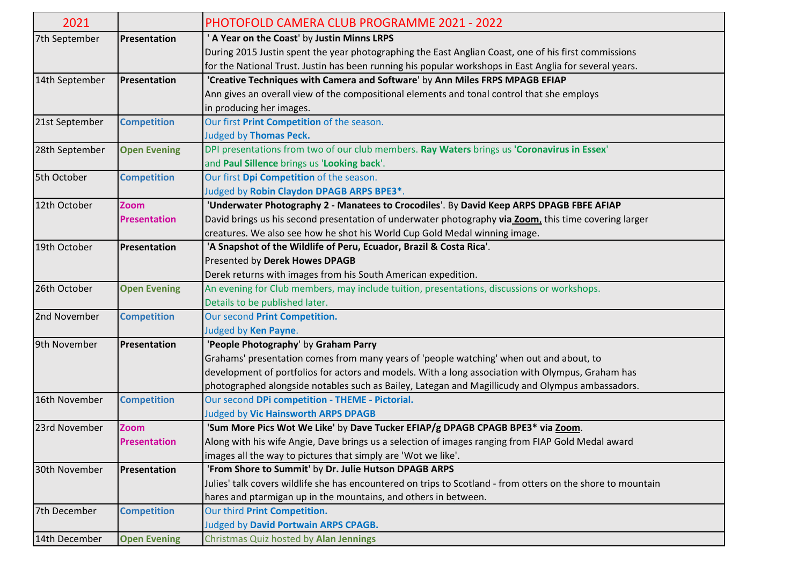| 2021           |                     | <b>PHOTOFOLD CAMERA CLUB PROGRAMME 2021 - 2022</b>                                                           |
|----------------|---------------------|--------------------------------------------------------------------------------------------------------------|
| 7th September  | Presentation        | ' A Year on the Coast' by Justin Minns LRPS                                                                  |
|                |                     | During 2015 Justin spent the year photographing the East Anglian Coast, one of his first commissions         |
|                |                     | for the National Trust. Justin has been running his popular workshops in East Anglia for several years.      |
| 14th September | Presentation        | 'Creative Techniques with Camera and Software' by Ann Miles FRPS MPAGB EFIAP                                 |
|                |                     | Ann gives an overall view of the compositional elements and tonal control that she employs                   |
|                |                     | in producing her images.                                                                                     |
| 21st September | <b>Competition</b>  | Our first Print Competition of the season.                                                                   |
|                |                     | <b>Judged by Thomas Peck.</b>                                                                                |
| 28th September | <b>Open Evening</b> | DPI presentations from two of our club members. Ray Waters brings us 'Coronavirus in Essex'                  |
|                |                     | and Paul Sillence brings us 'Looking back'.                                                                  |
| 5th October    | <b>Competition</b>  | Our first Dpi Competition of the season.                                                                     |
|                |                     | Judged by Robin Claydon DPAGB ARPS BPE3*.                                                                    |
| 12th October   | <b>Zoom</b>         | 'Underwater Photography 2 - Manatees to Crocodiles'. By David Keep ARPS DPAGB FBFE AFIAP                     |
|                | <b>Presentation</b> | David brings us his second presentation of underwater photography via Zoom, this time covering larger        |
|                |                     | creatures. We also see how he shot his World Cup Gold Medal winning image.                                   |
| 19th October   | Presentation        | 'A Snapshot of the Wildlife of Peru, Ecuador, Brazil & Costa Rica'.                                          |
|                |                     | Presented by Derek Howes DPAGB                                                                               |
|                |                     | Derek returns with images from his South American expedition.                                                |
| 26th October   | <b>Open Evening</b> | An evening for Club members, may include tuition, presentations, discussions or workshops.                   |
|                |                     | Details to be published later.                                                                               |
| 2nd November   | <b>Competition</b>  | Our second Print Competition.                                                                                |
|                |                     | Judged by Ken Payne.                                                                                         |
| 9th November   | Presentation        | 'People Photography' by Graham Parry                                                                         |
|                |                     | Grahams' presentation comes from many years of 'people watching' when out and about, to                      |
|                |                     | development of portfolios for actors and models. With a long association with Olympus, Graham has            |
|                |                     | photographed alongside notables such as Bailey, Lategan and Magillicudy and Olympus ambassadors.             |
| 16th November  | <b>Competition</b>  | Our second DPi competition - THEME - Pictorial.                                                              |
|                |                     | <b>Judged by Vic Hainsworth ARPS DPAGB</b>                                                                   |
| 23rd November  | Zoom                | 'Sum More Pics Wot We Like' by Dave Tucker EFIAP/g DPAGB CPAGB BPE3* via Zoom.                               |
|                | <b>Presentation</b> | Along with his wife Angie, Dave brings us a selection of images ranging from FIAP Gold Medal award           |
|                |                     | images all the way to pictures that simply are 'Wot we like'.                                                |
| 30th November  | Presentation        | 'From Shore to Summit' by Dr. Julie Hutson DPAGB ARPS                                                        |
|                |                     | Julies' talk covers wildlife she has encountered on trips to Scotland - from otters on the shore to mountain |
|                |                     | hares and ptarmigan up in the mountains, and others in between.                                              |
| 7th December   | <b>Competition</b>  | Our third Print Competition.                                                                                 |
|                |                     | Judged by David Portwain ARPS CPAGB.                                                                         |
| 14th December  | <b>Open Evening</b> | Christmas Quiz hosted by Alan Jennings                                                                       |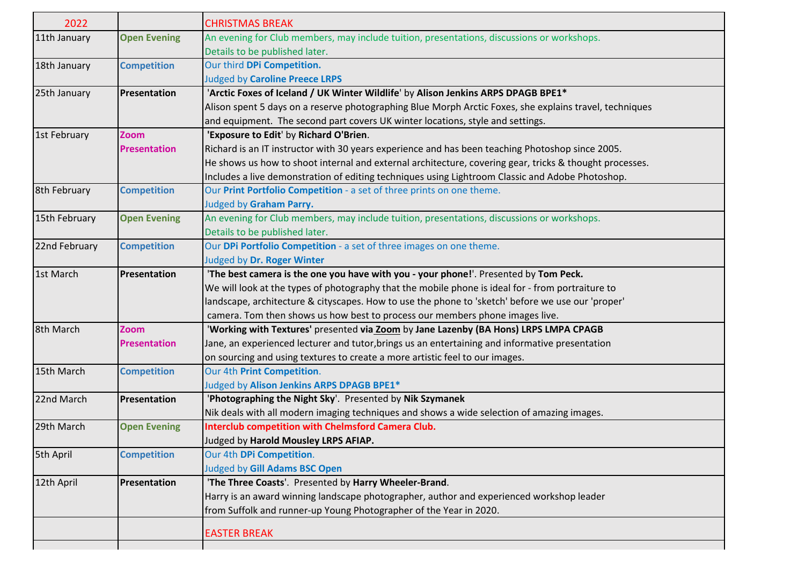| 2022          |                     | <b>CHRISTMAS BREAK</b>                                                                                  |
|---------------|---------------------|---------------------------------------------------------------------------------------------------------|
| 11th January  | <b>Open Evening</b> | An evening for Club members, may include tuition, presentations, discussions or workshops.              |
|               |                     | Details to be published later.                                                                          |
| 18th January  | <b>Competition</b>  | Our third DPi Competition.                                                                              |
|               |                     | <b>Judged by Caroline Preece LRPS</b>                                                                   |
| 25th January  | Presentation        | 'Arctic Foxes of Iceland / UK Winter Wildlife' by Alison Jenkins ARPS DPAGB BPE1*                       |
|               |                     | Alison spent 5 days on a reserve photographing Blue Morph Arctic Foxes, she explains travel, techniques |
|               |                     | and equipment. The second part covers UK winter locations, style and settings.                          |
| 1st February  | <b>Zoom</b>         | 'Exposure to Edit' by Richard O'Brien.                                                                  |
|               | <b>Presentation</b> | Richard is an IT instructor with 30 years experience and has been teaching Photoshop since 2005.        |
|               |                     | He shows us how to shoot internal and external architecture, covering gear, tricks & thought processes. |
|               |                     | Includes a live demonstration of editing techniques using Lightroom Classic and Adobe Photoshop.        |
| 8th February  | <b>Competition</b>  | Our Print Portfolio Competition - a set of three prints on one theme.                                   |
|               |                     | Judged by Graham Parry.                                                                                 |
| 15th February | <b>Open Evening</b> | An evening for Club members, may include tuition, presentations, discussions or workshops.              |
|               |                     | Details to be published later.                                                                          |
| 22nd February | <b>Competition</b>  | Our DPi Portfolio Competition - a set of three images on one theme.                                     |
|               |                     | Judged by Dr. Roger Winter                                                                              |
| 1st March     | Presentation        | 'The best camera is the one you have with you - your phone!'. Presented by Tom Peck.                    |
|               |                     | We will look at the types of photography that the mobile phone is ideal for - from portraiture to       |
|               |                     | landscape, architecture & cityscapes. How to use the phone to 'sketch' before we use our 'proper'       |
|               |                     | camera. Tom then shows us how best to process our members phone images live.                            |
| 8th March     | <b>Zoom</b>         | 'Working with Textures' presented via Zoom by Jane Lazenby (BA Hons) LRPS LMPA CPAGB                    |
|               | <b>Presentation</b> | Jane, an experienced lecturer and tutor, brings us an entertaining and informative presentation         |
|               |                     | on sourcing and using textures to create a more artistic feel to our images.                            |
| 15th March    | <b>Competition</b>  | Our 4th Print Competition.                                                                              |
|               |                     | Judged by Alison Jenkins ARPS DPAGB BPE1*                                                               |
| 22nd March    | Presentation        | 'Photographing the Night Sky'. Presented by Nik Szymanek                                                |
|               |                     | Nik deals with all modern imaging techniques and shows a wide selection of amazing images.              |
| 29th March    | <b>Open Evening</b> | <b>Interclub competition with Chelmsford Camera Club.</b>                                               |
|               |                     | Judged by Harold Mousley LRPS AFIAP.                                                                    |
| 5th April     | <b>Competition</b>  | Our 4th DPi Competition.                                                                                |
|               |                     | <b>Judged by Gill Adams BSC Open</b>                                                                    |
| 12th April    | Presentation        | 'The Three Coasts'. Presented by Harry Wheeler-Brand.                                                   |
|               |                     | Harry is an award winning landscape photographer, author and experienced workshop leader                |
|               |                     | from Suffolk and runner-up Young Photographer of the Year in 2020.                                      |
|               |                     | <b>EASTER BREAK</b>                                                                                     |
|               |                     |                                                                                                         |